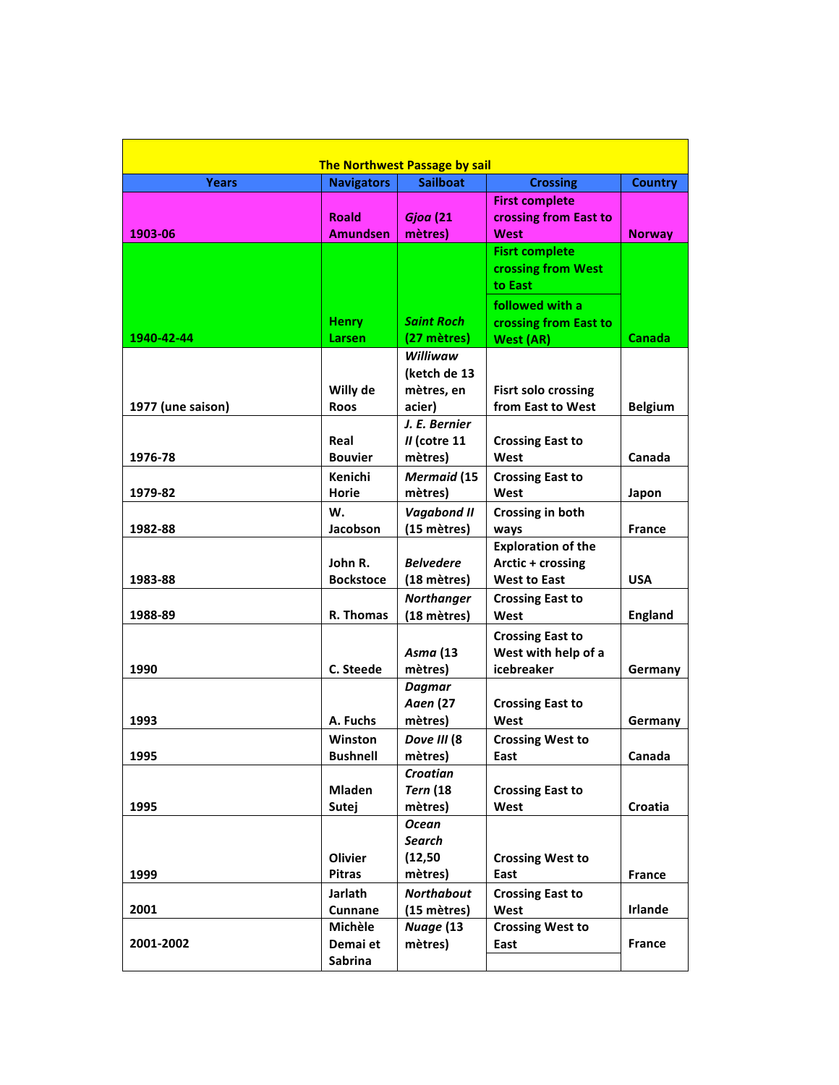| <b>The Northwest Passage by sail</b> |                           |                           |                                 |                |  |  |  |
|--------------------------------------|---------------------------|---------------------------|---------------------------------|----------------|--|--|--|
| <b>Years</b>                         | <b>Navigators</b>         | <b>Sailboat</b>           | <b>Crossing</b>                 | <b>Country</b> |  |  |  |
|                                      |                           |                           | <b>First complete</b>           |                |  |  |  |
|                                      | <b>Roald</b>              | <b>Gjoa</b> (21           | crossing from East to           |                |  |  |  |
| 1903-06                              | <b>Amundsen</b>           | mètres)                   | West                            | <b>Norway</b>  |  |  |  |
|                                      |                           |                           | <b>Fisrt complete</b>           |                |  |  |  |
|                                      |                           |                           | crossing from West              |                |  |  |  |
|                                      |                           |                           | to East                         |                |  |  |  |
|                                      |                           |                           | followed with a                 |                |  |  |  |
|                                      | <b>Henry</b>              | <b>Saint Roch</b>         | crossing from East to           |                |  |  |  |
| 1940-42-44                           | Larsen                    | (27 mètres)               | <b>West (AR)</b>                | Canada         |  |  |  |
|                                      |                           | Williwaw                  |                                 |                |  |  |  |
|                                      |                           | (ketch de 13              |                                 |                |  |  |  |
|                                      | Willy de                  | mètres, en                | <b>Fisrt solo crossing</b>      |                |  |  |  |
| 1977 (une saison)                    | <b>Roos</b>               | acier)                    | from East to West               | <b>Belgium</b> |  |  |  |
|                                      |                           | J. E. Bernier             |                                 |                |  |  |  |
|                                      | Real                      | $II$ (cotre 11            | <b>Crossing East to</b>         |                |  |  |  |
| 1976-78                              | <b>Bouvier</b>            | mètres)                   | West                            | Canada         |  |  |  |
|                                      | Kenichi                   | <b>Mermaid</b> (15        | <b>Crossing East to</b>         |                |  |  |  |
| 1979-82                              | <b>Horie</b>              | mètres)                   | West                            | Japon          |  |  |  |
|                                      | W.                        | <b>Vagabond II</b>        | Crossing in both                |                |  |  |  |
| 1982-88                              | Jacobson                  | (15 mètres)               | ways                            | France         |  |  |  |
|                                      |                           |                           | <b>Exploration of the</b>       |                |  |  |  |
|                                      | John R.                   | <b>Belvedere</b>          | Arctic + crossing               |                |  |  |  |
| 1983-88                              | <b>Bockstoce</b>          | (18 mètres)               | <b>West to East</b>             | <b>USA</b>     |  |  |  |
|                                      |                           | <b>Northanger</b>         | <b>Crossing East to</b>         |                |  |  |  |
| 1988-89                              | R. Thomas                 | (18 mètres)               | West                            | <b>England</b> |  |  |  |
|                                      |                           |                           | <b>Crossing East to</b>         |                |  |  |  |
|                                      |                           | Asma (13                  | West with help of a             |                |  |  |  |
| 1990                                 | C. Steede                 | mètres)                   | icebreaker                      | Germany        |  |  |  |
|                                      |                           | <b>Dagmar</b>             |                                 |                |  |  |  |
|                                      |                           | <b>Aaen</b> (27           | <b>Crossing East to</b>         |                |  |  |  |
| 1993                                 | A. Fuchs                  | mètres)                   | West                            | Germany        |  |  |  |
|                                      | Winston                   | Dove III (8               | <b>Crossing West to</b>         |                |  |  |  |
| 1995                                 | <b>Bushnell</b>           | mètres)                   | East                            | Canada         |  |  |  |
|                                      |                           | Croatian                  |                                 |                |  |  |  |
|                                      | <b>Mladen</b>             | <b>Tern</b> (18)          | <b>Crossing East to</b>         |                |  |  |  |
| 1995                                 | Sutej                     | mètres)                   | West                            | Croatia        |  |  |  |
|                                      |                           | <b>Ocean</b>              |                                 |                |  |  |  |
|                                      | Olivier                   | <b>Search</b><br>(12, 50) | <b>Crossing West to</b>         |                |  |  |  |
| 1999                                 | <b>Pitras</b>             | mètres)                   | East                            | <b>France</b>  |  |  |  |
|                                      |                           |                           |                                 |                |  |  |  |
| 2001                                 | Jarlath<br><b>Cunnane</b> | <b>Northabout</b>         | <b>Crossing East to</b>         | <b>Irlande</b> |  |  |  |
|                                      | Michèle                   | (15 mètres)<br>Nuage (13  | West<br><b>Crossing West to</b> |                |  |  |  |
| 2001-2002                            | Demai et                  | mètres)                   | East                            | France         |  |  |  |
|                                      | Sabrina                   |                           |                                 |                |  |  |  |
|                                      |                           |                           |                                 |                |  |  |  |